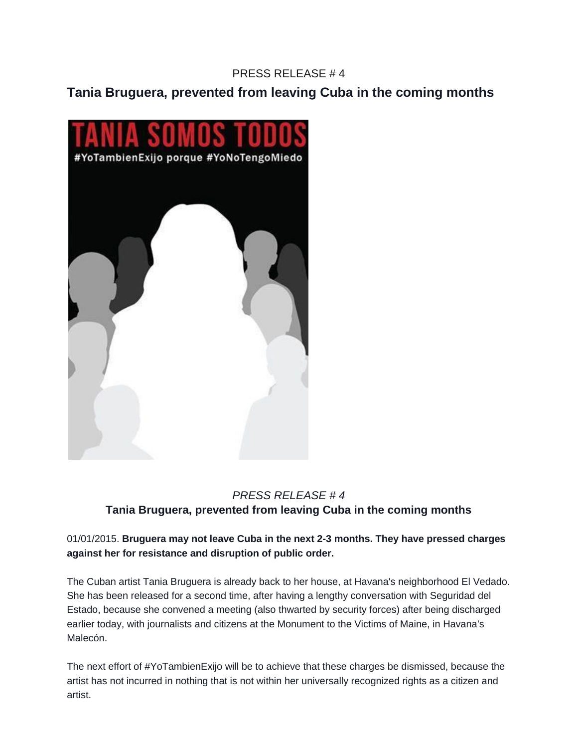### PRESS RELEASE # 4

**Tania Bruguera, prevented from leaving Cuba in the coming months**



## *PRESS RELEASE # 4* **Tania Bruguera, prevented from leaving Cuba in the coming months**

#### 01/01/2015. **Bruguera may not leave Cuba in the next 2-3 months. They have pressed charges against her for resistance and disruption of public order.**

The Cuban artist Tania Bruguera is already back to her house, at Havana's neighborhood El Vedado. She has been released for a second time, after having a lengthy conversation with Seguridad del Estado, because she convened a meeting (also thwarted by security forces) after being discharged earlier today, with journalists and citizens at the Monument to the Victims of Maine, in Havana's Malecón.

The next effort of #YoTambienExijo will be to achieve that these charges be dismissed, because the artist has not incurred in nothing that is not within her universally recognized rights as a citizen and artist.